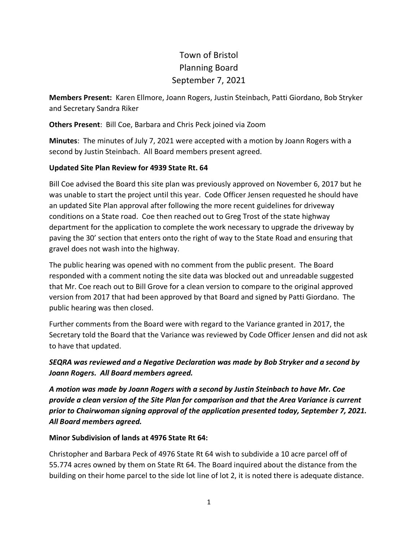## Town of Bristol Planning Board September 7, 2021

**Members Present:** Karen Ellmore, Joann Rogers, Justin Steinbach, Patti Giordano, Bob Stryker and Secretary Sandra Riker

**Others Present**: Bill Coe, Barbara and Chris Peck joined via Zoom

**Minutes**: The minutes of July 7, 2021 were accepted with a motion by Joann Rogers with a second by Justin Steinbach. All Board members present agreed.

## **Updated Site Plan Review for 4939 State Rt. 64**

Bill Coe advised the Board this site plan was previously approved on November 6, 2017 but he was unable to start the project until this year. Code Officer Jensen requested he should have an updated Site Plan approval after following the more recent guidelines for driveway conditions on a State road. Coe then reached out to Greg Trost of the state highway department for the application to complete the work necessary to upgrade the driveway by paving the 30' section that enters onto the right of way to the State Road and ensuring that gravel does not wash into the highway.

The public hearing was opened with no comment from the public present. The Board responded with a comment noting the site data was blocked out and unreadable suggested that Mr. Coe reach out to Bill Grove for a clean version to compare to the original approved version from 2017 that had been approved by that Board and signed by Patti Giordano. The public hearing was then closed.

Further comments from the Board were with regard to the Variance granted in 2017, the Secretary told the Board that the Variance was reviewed by Code Officer Jensen and did not ask to have that updated.

## *SEQRA was reviewed and a Negative Declaration was made by Bob Stryker and a second by Joann Rogers. All Board members agreed.*

*A motion was made by Joann Rogers with a second by Justin Steinbach to have Mr. Coe provide a clean version of the Site Plan for comparison and that the Area Variance is current prior to Chairwoman signing approval of the application presented today, September 7, 2021. All Board members agreed.*

## **Minor Subdivision of lands at 4976 State Rt 64:**

Christopher and Barbara Peck of 4976 State Rt 64 wish to subdivide a 10 acre parcel off of 55.774 acres owned by them on State Rt 64. The Board inquired about the distance from the building on their home parcel to the side lot line of lot 2, it is noted there is adequate distance.